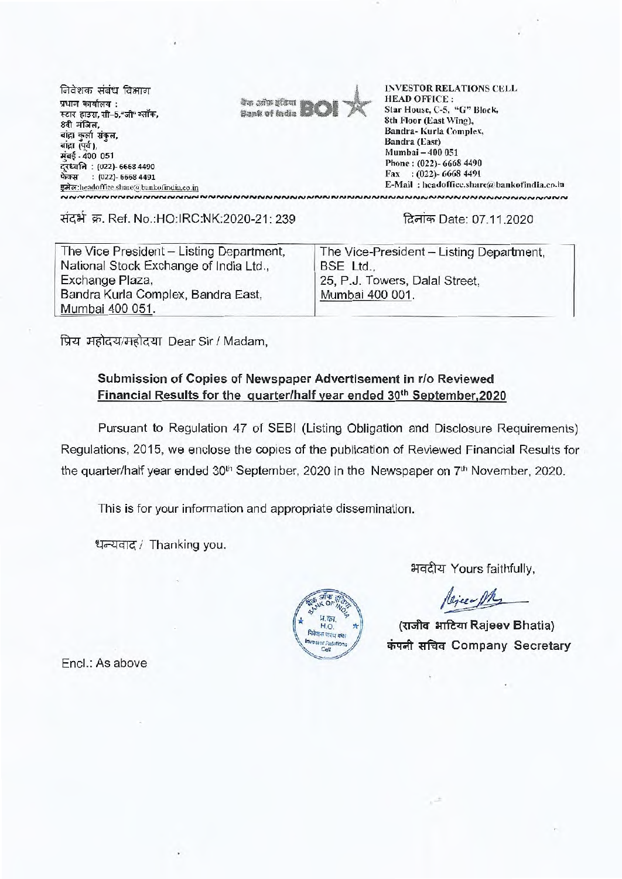निवेशक संबंध विभाग प्रधान कार्यालय: स्टार हाउस, सी-5,"जी" ब्लॉक, 8वी मंजिल. बांद्रा कर्ला संकल. बांद्रा (पर्व). मंबई - 400 051 दूरध्वनि : (022)- 6668 4490 फेक्स: (022)- 6668 4491 इमेल:headoffice.share@bankofindia.co.in NNNNNNNNNNNNNNNNNNNN



**INVESTOR RELATIONS CELL HEAD OFFICE:** Star House, C-5, "G" Block. 8th Floor (East Wing), Bandra-Kurla Complex, Bandra (East) Mumbai - 400 051 Phone: (022)- 6668 4490 Fax: (022)-6668 4491 E-Mail: headoffice.share@bankofindia.co.in ~~~~~~~~~~~~~~~~~~~~~~~~~~~~~~~

संदर्भ क्र. Ref. No.:HO:IRC:NK:2020-21: 239

दिनांक Date: 07.11.2020

| The Vice President - Listing Department, | The Vice-President - Listing Department, |
|------------------------------------------|------------------------------------------|
| National Stock Exchange of India Ltd.,   | BSE Ltd.,                                |
| Exchange Plaza,                          | 25, P.J. Towers, Dalal Street.           |
| Bandra Kurla Complex, Bandra East,       | Mumbai 400 001.                          |
| Mumbai 400 051.                          |                                          |

प्रिय महोदय/महोदया Dear Sir / Madam,

## Submission of Copies of Newspaper Advertisement in r/o Reviewed Financial Results for the quarter/half year ended 30<sup>th</sup> September.2020

Pursuant to Regulation 47 of SEBI (Listing Obligation and Disclosure Requirements) Regulations, 2015, we enclose the copies of the publication of Reviewed Financial Results for the quarter/half year ended 30<sup>th</sup> September, 2020 in the Newspaper on 7<sup>th</sup> November, 2020.

> H.O निवेशक संयुध कक्ष wester Relations

 $Ca$ 

This is for your information and appropriate dissemination.

धन्यवाद / Thanking you.

भवदीय Yours faithfully,

Rejeer PR

(राजीव भाटिया Rajeev Bhatia) कंपनी सचिव Company Secretary

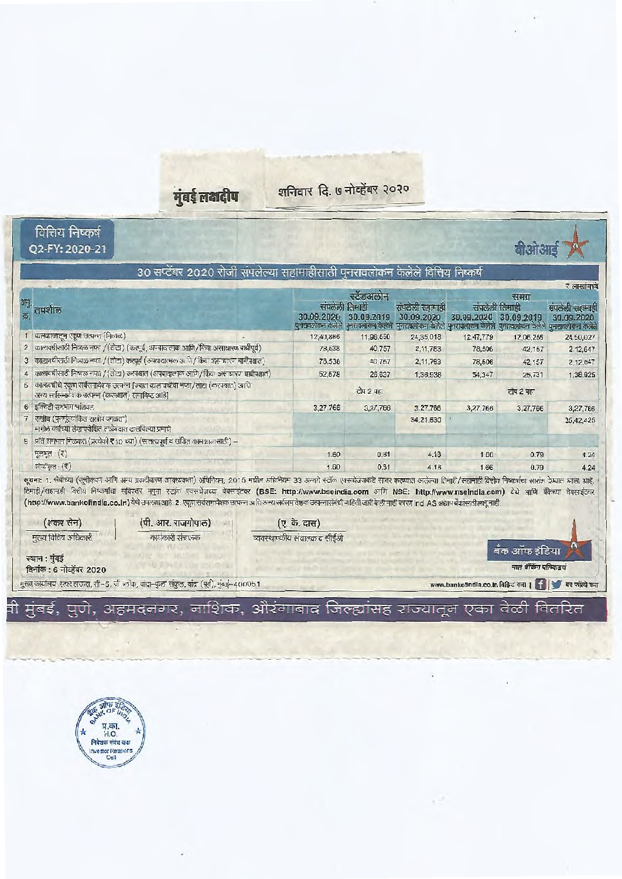.<br>मुंबई लक्षदीप

शनिवार दि. ७ नोव्हेंबर २०२०

|                                                                                                                            | 30 सप्टेंबर 2020 रोजी संपलेल्या सहामाहीसाठी पुनरावलोकन केलेले वित्तिय निष्कर्ष                                                                                                                                                                                                                                                                                                                                                                                                                                                                                                         |                                                                                                                                                       |              |                              |                                                   |                       | रे लाखांमध्ये                 |
|----------------------------------------------------------------------------------------------------------------------------|----------------------------------------------------------------------------------------------------------------------------------------------------------------------------------------------------------------------------------------------------------------------------------------------------------------------------------------------------------------------------------------------------------------------------------------------------------------------------------------------------------------------------------------------------------------------------------------|-------------------------------------------------------------------------------------------------------------------------------------------------------|--------------|------------------------------|---------------------------------------------------|-----------------------|-------------------------------|
|                                                                                                                            |                                                                                                                                                                                                                                                                                                                                                                                                                                                                                                                                                                                        |                                                                                                                                                       | स्टंडअलोन    |                              |                                                   | समग्र                 |                               |
| तपशील                                                                                                                      |                                                                                                                                                                                                                                                                                                                                                                                                                                                                                                                                                                                        | संपलली तिमाही<br>30.09.2020 30.09.2019<br>पुनरावलोकन केलेले पुनरावलोकन केलेले पुनरावलोकन केलेले पुनरावलोकन केलेले पुनरावलोकन केलेले पुनरावलोकन केलेले |              | सपलेली सहामाही<br>30.09.2020 | संपलको लिमाही<br>30.09.2020 30.09.2019            |                       | संपलेली सहामाही<br>30.09.2020 |
| 1 कामकाजातून एकूण उत्पन्न (निव्वळ)                                                                                         |                                                                                                                                                                                                                                                                                                                                                                                                                                                                                                                                                                                        | 12,40,866                                                                                                                                             | 11,98,550    | 24,35,018                    | 12,47,779                                         | 12,06,255             | 24,50,027                     |
| $\overline{2}$                                                                                                             | कालावधीसाठी निव्वळ नफा /(तोटा) (करपूर्व, अपवाद त्मक आणि/किंवा असाधारण बाबीपूर्व)                                                                                                                                                                                                                                                                                                                                                                                                                                                                                                       | 78,538                                                                                                                                                | 40,757       | 2, 11, 783                   | 78,506                                            | 42,157                | 2.12,647                      |
|                                                                                                                            | 3 कालावधीसाठी निव्यळ नफा / (तोटा) करपूर्व (अपवादात्मक आणि/किंवा असाधारण बाबीपश्चात)                                                                                                                                                                                                                                                                                                                                                                                                                                                                                                    | 78,538                                                                                                                                                | 40,757       | 2, 11, 783                   | 78,506                                            | 42, 157               | 2,12,647                      |
|                                                                                                                            | 4 कालावधीसाठी निष्यळ नफा /(तोटा) करपश्चात (अपवादात्मक आणि/किंवा असाधारण बाबीपश्चात)                                                                                                                                                                                                                                                                                                                                                                                                                                                                                                    | 52,578                                                                                                                                                | 26,637       | 1,36,938                     | 54,347                                            | 25,731                | 1,38,925                      |
| अन्य सर्वसमावेशक उत्पन्न (करपश्चात) समाविष्ट आहे]                                                                          | 5   कालायधीचे एकूण सर्वसमावेशक उत्पन्न [ज्यात काल.वधीचा नफा/तोटा (करपश्चात) आणि                                                                                                                                                                                                                                                                                                                                                                                                                                                                                                        |                                                                                                                                                       | टीप 2 पहा    |                              |                                                   | टीप 2 पहा             |                               |
| 6 इक्विटी समभाग भाड़वल                                                                                                     |                                                                                                                                                                                                                                                                                                                                                                                                                                                                                                                                                                                        | 3,27,766                                                                                                                                              | 3,27,766     | 3.27,766                     | 3,27,766                                          | 3,27,766              | 3,27,766                      |
| राखीव (पुनर्मूल्यांकित राखीव वगळता)<br>मागील वर्षाच्या लेख परीक्षित ताळेबंदात दाखविल्या प्रमाणे                            |                                                                                                                                                                                                                                                                                                                                                                                                                                                                                                                                                                                        |                                                                                                                                                       |              | 34.21.630                    |                                                   |                       | 35,42,425                     |
|                                                                                                                            |                                                                                                                                                                                                                                                                                                                                                                                                                                                                                                                                                                                        |                                                                                                                                                       |              |                              |                                                   |                       |                               |
|                                                                                                                            |                                                                                                                                                                                                                                                                                                                                                                                                                                                                                                                                                                                        |                                                                                                                                                       |              |                              |                                                   |                       |                               |
| मूलभूत: (₹)<br>सौम्यीकृत : (₹)<br>(शंकर सेन)                                                                               | सूचना: 1. सेबीच्या (सूचीकरण आणि अन्य प्रकटीकरण आवश्यकता) अधिनियम, 2015 मधील अधिनियम 33 अन्वये स्टाॅंके एक्सचेंसकडे सादर करण्यात आलेल्या तिमाई/सहामाही वित्तीय निष्कर्षाचा सारांश देण्यात आला आहे.<br>तिमाडी/सहामाही वित्तीय निष्कर्षांचा सविस्तर नमुना स्टॉल एक्सचेजच्या वेबसाईटवर (BSE: http://www.bseindia.com आणि NSE: http://www.nseindia.com) येथे आणि बँकेच्या वेबसाईटवर<br>(http://www.bankofindia.co.in) येथे उपलब्ध आहे. 2. एकूण सर्वसमावेशक उत्पन्न आणि अन्य सर्वसमावेशक उत्पन्नासंबंधी माहिती जारी केली नाही कारण ind AS अद्याप बैंकांसाठी लागू नाही.<br>(पी. आर. राजगोपाल) | 1.60<br>1.60<br>(ए. के. दास)                                                                                                                          | 0.81<br>0.81 | 4.18<br>4.18                 | 1.66<br>1.66                                      | 0.79<br>0.79          |                               |
| मुख्य वित्तिय अधिकारी                                                                                                      | कार्यकारी संचालक                                                                                                                                                                                                                                                                                                                                                                                                                                                                                                                                                                       | व्यक्स्थापकीय संचालक व सीईओ                                                                                                                           |              |                              |                                                   | बँक ऑफ इंडिया         | 4.24<br>4.24                  |
|                                                                                                                            |                                                                                                                                                                                                                                                                                                                                                                                                                                                                                                                                                                                        |                                                                                                                                                       |              |                              |                                                   | नातं बॅकिंग पत्किकडचं |                               |
|                                                                                                                            | मुख्य कार्यालय: स्टार हाऊस, सी–5, जी ब्लॉक, वांद्रा–कुल' संकुल, वांद्रा (पूर्व), मुंबई–400051                                                                                                                                                                                                                                                                                                                                                                                                                                                                                          |                                                                                                                                                       |              |                              | www.bankofindla.co.in विक्रिट करा   स्वीक्रिट करा |                       |                               |
| 8 प्रति समभाग गिळकत (प्रत्येकी र 10 च्या) (सातत्यपूर्ण व खंडित कामकाजासाठी) -<br>स्थान : मुंबई<br>दिनांक: 6 नोव्हेंबर 2020 |                                                                                                                                                                                                                                                                                                                                                                                                                                                                                                                                                                                        |                                                                                                                                                       |              |                              |                                                   |                       |                               |
|                                                                                                                            | .<br>वी मुंबई, पुणे, अहमदनगर, नाशिक, औरंगाबाद जिल्ह्यांसह राज्यातून एका वेळी वितरित                                                                                                                                                                                                                                                                                                                                                                                                                                                                                                    |                                                                                                                                                       |              |                              |                                                   |                       |                               |
|                                                                                                                            |                                                                                                                                                                                                                                                                                                                                                                                                                                                                                                                                                                                        |                                                                                                                                                       |              |                              |                                                   |                       |                               |
|                                                                                                                            |                                                                                                                                                                                                                                                                                                                                                                                                                                                                                                                                                                                        |                                                                                                                                                       |              |                              |                                                   |                       |                               |

 $\mathcal{O}$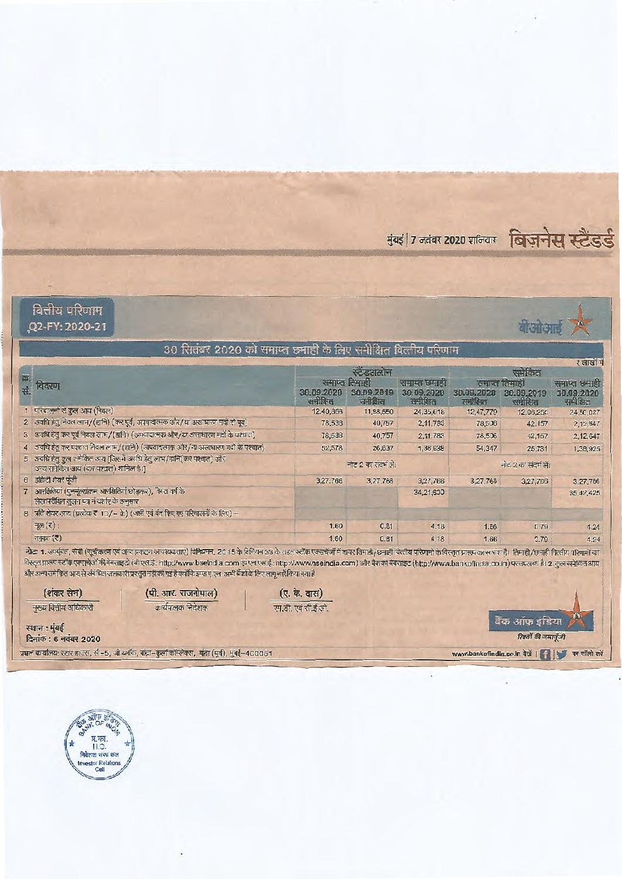मुंबई | 7 नवंबर 2020 शनिवार विज़नेस स्टैंडर्ड



वित्तीय परिणाम Q2-FY: 2020-21



# 30 सितंबर 2020 को समाप्त छमाही के लिए समीक्षित वित्तीय परिणाम

|    |                                                                                                              |                               |                      |                        |                         |                        | $\sim$ 0191919         |  |
|----|--------------------------------------------------------------------------------------------------------------|-------------------------------|----------------------|------------------------|-------------------------|------------------------|------------------------|--|
| 葬. |                                                                                                              | स्टेडअलोन                     |                      |                        | समेकित                  |                        |                        |  |
|    | <b>GREW</b>                                                                                                  | समाप्त लिमाही<br>समाम्त छमाडा |                      |                        | समाप्त तिमाडी           |                        | समाप्त छमाही           |  |
|    |                                                                                                              | 30.09.2020<br>समीक्षित        | 30.09.2019<br>समोतित | 30.09.2020<br>समीक्षित | 30.09.2020<br>रामीक्षित | 30.09.2019<br>समीरित्त | 30.09.2020<br>समीक्षित |  |
|    | 1 परिचालनों से कुल आय (निवल)                                                                                 | 12,40,866                     | 11,98,550            | 24,35,018              | 12,47,779               | 12,06,255              | 24,50,027              |  |
|    | 2 अवधि हेतु निवल लाभ/(हानि) (कर पूर्व, अपवादात्मक और/या असाधारण मदों से पूर्व)                               | 78,538                        | 40,757               | 2, 11, 783             | 78,506                  | 42,157                 | 2,12,847               |  |
|    | 3 अवधि हेतु कर पूर्व निवल लाभ/(हानि) (अपवादात्मक और/या असाधारण मदों के पश्चात)                               | 78,538                        | 40,757               | 2.11.783               | 78,506                  | 42,157                 | 2,12,647               |  |
|    | 4 अवधि हेतु कर पश्चात निवल लाम/(हानि) (अपवादात्मक और/या अलाधारण मदों के पश्चात)                              | 52,578                        | 26,637               | 1,36,938               | 54,347                  | 25,731                 | 1,38,925               |  |
|    | 5 अवधि हेतु कुल समेकित आय [जिसमें अवधि हेतु लाभ/डानि(कर पश्चाल) और<br>अन्य समेकित आय (कर पश्चात) शामिल है ।] |                               | नोट 2 का संदर्भ लें। |                        |                         | नोट 2 का संदर्भ लें।   |                        |  |
|    | 6 इक्विटी शेयर पूंजी                                                                                         | 3.27.766                      | 3,27,766             | 3,27,766               | 3,27.766                | 3,27,766               | 3.27,766               |  |
|    | 7 आरक्षितियां (एनमूल्यांकन आरक्षितियां छोड़कर), विगत वर्ष के<br>लेखापरीक्षित तुलन पत्र में दर्शाए के अनुसार  |                               |                      | 34,21,630              |                         |                        | 35.42,425              |  |
|    | 8 प्रति शेयर आय (प्रत्येक ₹ 10/- के) (जारी एवं बंद किए गए परिचालनों के लिए) -                                |                               |                      |                        |                         |                        |                        |  |
|    | मूल $(\bar{\tau})$ :                                                                                         | 1.60                          | 0.81                 | 4.18                   | 1.66                    | 0.79                   | 4.24                   |  |
|    | तनकर (र)                                                                                                     | 1.60                          | 0.81                 | 4.18                   | 1.66                    | 0.79                   | 4.94                   |  |

नोटः 1. अर्म्युक्त, सेबी (सूचीकरण एवं अन्य प्रकटन आवश्यकताएं) विनियमन, 2015 के विनियम 33 के तहत स्टोक एसजेजों में चायर तिमाडी/छमाती वित्तीय परिणामों के विस्तृत प्रख्या का सारांश है। तिमाडी/छमाती वित्तीय परिणामों का विस्तृत प्रारूप स्टॉक एक्सकेंजें की वेबसाइटों (बी.एस.ई.: http://www.bseindia.com एवं एन.एस.ई.: http://www.nseindia.com) और बैंक की वेबसाइट (http://www.bankofindia.co.in) पर उपलब्ध है। 2. कुल समेकित आय और अन्य समेकित आय से संबंधित जानकारी प्रस्तुत नहीं की गई है क्योंकि इण्ड ए.एस. अभी बैंकों के लिए लागू नहीं किया गया है

(शंकर सेन) मुख्य वित्तीय अधिकारी (पी. आर. राजगोपाल) कार्यपालक निदेशक

(ए. के. दास) एम.डी. एवं सी.ई.ओ.

स्थान : मुंबई दिनांक: 6 नवंबर 2020

.<br>प्रधान कार्यालय: स्टार हाउस, सी–5, जी ब्लॉक, बांद्रा–कुर्ला कॉम्लेक्स, बांद्रा (पूर्व), मुंबई–400051

बैंक ऑफ़ इंडिया रिश्तों की जमायूँजी

www.bankofindia.co.in वेखें | | | पर फॉलो करें